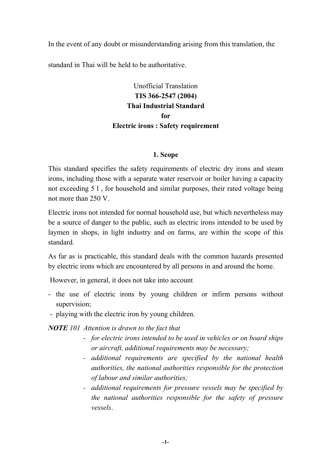In the event of any doubt or misunderstanding arising from this translation, the

standard in Thai will be held to be authoritative.

# Unofficial Translation **TIS 366-2547 (2004) Thai Industrial Standard for Electric irons : Safety requirement**

# **1. Scope**

This standard specifies the safety requirements of electric dry irons and steam irons, including those with a separate water reservoir or boiler having a capacity not exceeding 5 l , for household and similar purposes, their rated voltage being not more than 250 V.

Electric irons not intended for normal household use, but which nevertheless may be a source of danger to the public, such as electric irons intended to be used by laymen in shops, in light industry and on farms, are within the scope of this standard.

As far as is practicable, this standard deals with the common hazards presented by electric irons which are encountered by all persons in and around the home.

However, in general, it does not take into account

- the use of electric irons by young children or infirm persons without supervision;
- playing with the electric iron by young children.

*NOTE 101 Attention is drawn to the fact that*

- *for electric irons intended to be used in vehicles or on board ships or aircraft, additional requirements may be necessary;*
- *additional requirements are specified by the national health authorities, the national authorities responsible for the protection of labour and similar authorities;*
- *additional requirements for pressure vessels may be specified by the national authorities responsible for the safety of pressure vessels*.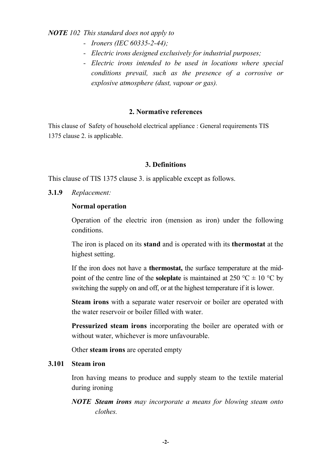*NOTE 102 This standard does not apply to*

- *Ironers (IEC 60335-2-44);*
- *Electric irons designed exclusively for industrial purposes;*
- *Electric irons intended to be used in locations where special conditions prevail, such as the presence of a corrosive or explosive atmosphere (dust, vapour or gas).*

## **2. Normative references**

This clause of Safety of household electrical appliance : General requirements TIS 1375 clause 2. is applicable.

## **3. Definitions**

This clause of TIS 1375 clause 3. is applicable except as follows.

**3.1.9** *Replacement:*

## **Normal operation**

Operation of the electric iron (mension as iron) under the following conditions.

The iron is placed on its **stand** and is operated with its **thermostat** at the highest setting.

If the iron does not have a **thermostat,** the surface temperature at the midpoint of the centre line of the **soleplate** is maintained at 250 °C  $\pm$  10 °C by switching the supply on and off, or at the highest temperature if it is lower.

**Steam irons** with a separate water reservoir or boiler are operated with the water reservoir or boiler filled with water.

**Pressurized steam irons** incorporating the boiler are operated with or without water, whichever is more unfavourable.

Other **steam irons** are operated empty

#### **3.101 Steam iron**

Iron having means to produce and supply steam to the textile material during ironing

*NOTE Steam irons may incorporate a means for blowing steam onto clothes.*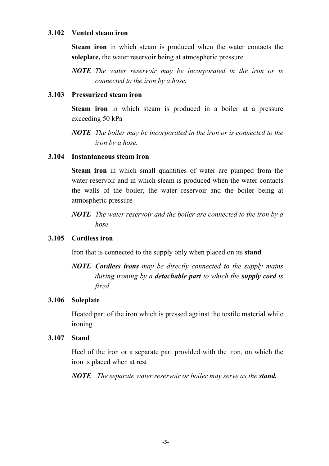## **3.102 Vented steam iron**

**Steam iron** in which steam is produced when the water contacts the **soleplate,** the water reservoir being at atmospheric pressure

*NOTE The water reservoir may be incorporated in the iron or is connected to the iron by a hose.*

# **3.103 Pressurized steam iron**

**Steam iron** in which steam is produced in a boiler at a pressure exceeding 50 kPa

*NOTE The boiler may be incorporated in the iron or is connected to the iron by a hose.*

# **3.104 Instantaneous steam iron**

**Steam iron** in which small quantities of water are pumped from the water reservoir and in which steam is produced when the water contacts the walls of the boiler, the water reservoir and the boiler being at atmospheric pressure

*NOTE The water reservoir and the boiler are connected to the iron by a hose.*

# **3.105 Cordless iron**

Iron that is connected to the supply only when placed on its **stand**

*NOTE Cordless irons may be directly connected to the supply mains during ironing by a detachable part to which the supply cord is fixed.*

#### **3.106 Soleplate**

Heated part of the iron which is pressed against the textile material while ironing

#### **3.107 Stand**

Heel of the iron or a separate part provided with the iron, on which the iron is placed when at rest

*NOTE The separate water reservoir or boiler may serve as the stand.*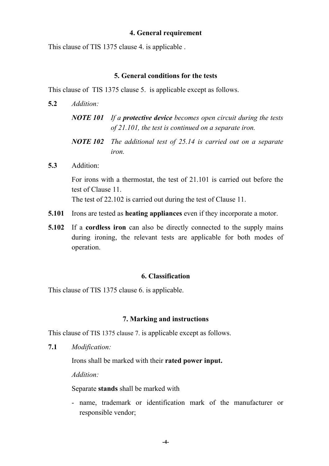## **4. General requirement**

This clause of TIS 1375 clause 4. is applicable .

## **5. General conditions for the tests**

This clause of TIS 1375 clause 5. is applicable except as follows.

- **5.2** *Addition: NOTE 101 If a protective device becomes open circuit during the tests of 21.101, the test is continued on a separate iron. NOTE 102 The additional test of 25.14 is carried out on a separate iron.*
- **5.3** Addition:

For irons with a thermostat, the test of 21.101 is carried out before the test of Clause 11.

The test of 22.102 is carried out during the test of Clause 11.

- **5.101** Irons are tested as **heating appliances** even if they incorporate a motor.
- **5.102** If a **cordless iron** can also be directly connected to the supply mains during ironing, the relevant tests are applicable for both modes of operation.

# **6. Classification**

This clause of TIS 1375 clause 6. is applicable.

#### **7. Marking and instructions**

This clause of TIS 1375 clause 7. is applicable except as follows.

**7.1** *Modification:*

Irons shall be marked with their **rated power input.**

*Addition:*

Separate **stands** shall be marked with

- name, trademark or identification mark of the manufacturer or responsible vendor;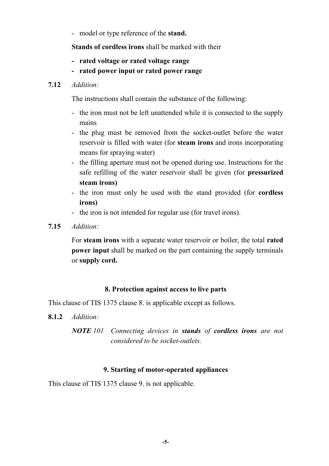- model or type reference of the **stand.**

**Stands of cordless irons** shall be marked with their

- **rated voltage or rated voltage range**
- **rated power input or rated power range**

# **7.12** *Addition:*

The instructions shall contain the substance of the following:

- the iron must not be left unattended while it is connected to the supply mains
- the plug must be removed from the socket-outlet before the water reservoir is filled with water (for **steam irons** and irons incorporating means for spraying water)
- the filling aperture must not be opened during use. Instructions for the safe refilling of the water reservoir shall be given (for **pressurized steam irons)**
- the iron must only be used with the stand provided (for **cordless irons)**
- the iron is not intended for regular use (for travel irons).
- **7.15** *Addition:*

For **steam irons** with a separate water reservoir or boiler, the total **rated power input** shall be marked on the part containing the supply terminals or **supply cord.**

# **8. Protection against access to live parts**

This clause of TIS 1375 clause 8. is applicable except as follows.

- **8.1.2** *Addition:*
	- *NOTE 101 Connecting devices in stands of cordless irons are not considered to be socket-outlets.*

# **9. Starting of motor-operated appliances**

This clause of TIS 1375 clause 9. is not applicable.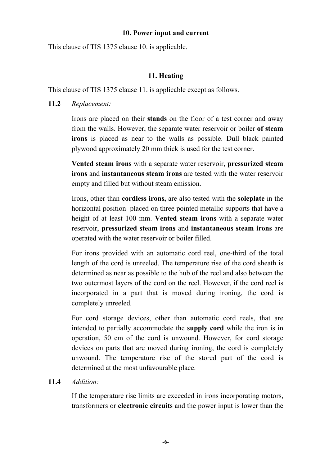## **10. Power input and current**

This clause of TIS 1375 clause 10. is applicable.

# **11. Heating**

This clause of TIS 1375 clause 11. is applicable except as follows.

# **11.2** *Replacement:*

Irons are placed on their **stands** on the floor of a test corner and away from the walls. However, the separate water reservoir or boiler **of steam irons** is placed as near to the walls as possible. Dull black painted plywood approximately 20 mm thick is used for the test corner.

**Vented steam irons** with a separate water reservoir, **pressurized steam irons** and **instantaneous steam irons** are tested with the water reservoir empty and filled but without steam emission.

Irons, other than **cordless irons,** are also tested with the **soleplate** in the horizontal position placed on three pointed metallic supports that have a height of at least 100 mm. **Vented steam irons** with a separate water reservoir, **pressurized steam irons** and **instantaneous steam irons** are operated with the water reservoir or boiler filled.

For irons provided with an automatic cord reel, one-third of the total length of the cord is unreeled. The temperature rise of the cord sheath is determined as near as possible to the hub of the reel and also between the two outermost layers of the cord on the reel. However, if the cord reel is incorporated in a part that is moved during ironing, the cord is completely unreeled*.*

For cord storage devices, other than automatic cord reels, that are intended to partially accommodate the **supply cord** while the iron is in operation, 50 cm of the cord is unwound. However, for cord storage devices on parts that are moved during ironing, the cord is completely unwound. The temperature rise of the stored part of the cord is determined at the most unfavourable place.

# **11.4** *Addition:*

If the temperature rise limits are exceeded in irons incorporating motors, transformers or **electronic circuits** and the power input is lower than the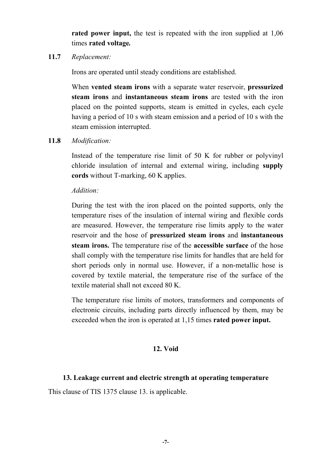**rated power input,** the test is repeated with the iron supplied at 1,06 times **rated voltage***.*

**11.7** *Replacement:*

Irons are operated until steady conditions are established.

When **vented steam irons** with a separate water reservoir, **pressurized steam irons** and **instantaneous steam irons** are tested with the iron placed on the pointed supports, steam is emitted in cycles, each cycle having a period of 10 s with steam emission and a period of 10 s with the steam emission interrupted.

**11.8** *Modification:*

Instead of the temperature rise limit of 50 K for rubber or polyvinyl chloride insulation of internal and external wiring, including **supply cords** without T-marking, 60 K applies.

*Addition:*

During the test with the iron placed on the pointed supports, only the temperature rises of the insulation of internal wiring and flexible cords are measured. However, the temperature rise limits apply to the water reservoir and the hose of **pressurized steam irons** and **instantaneous steam irons.** The temperature rise of the **accessible surface** of the hose shall comply with the temperature rise limits for handles that are held for short periods only in normal use. However, if a non-metallic hose is covered by textile material, the temperature rise of the surface of the textile material shall not exceed 80 K.

The temperature rise limits of motors, transformers and components of electronic circuits, including parts directly influenced by them, may be exceeded when the iron is operated at 1,15 times **rated power input.**

# **12. Void**

# **13. Leakage current and electric strength at operating temperature**

This clause of TIS 1375 clause 13. is applicable.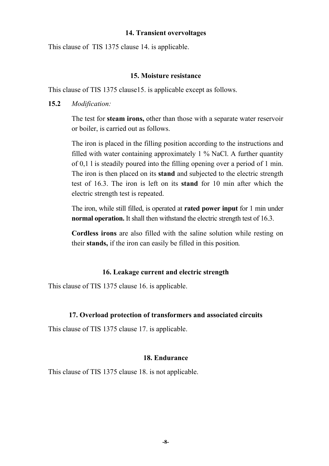#### **14. Transient overvoltages**

This clause of TIS 1375 clause 14. is applicable.

#### **15. Moisture resistance**

This clause of TIS 1375 clause15. is applicable except as follows.

#### **15.2** *Modification:*

The test for **steam irons,** other than those with a separate water reservoir or boiler, is carried out as follows.

The iron is placed in the filling position according to the instructions and filled with water containing approximately 1 % NaCl. A further quantity of 0,1 l is steadily poured into the filling opening over a period of 1 min. The iron is then placed on its **stand** and subjected to the electric strength test of 16.3. The iron is left on its **stand** for 10 min after which the electric strength test is repeated.

The iron, while still filled, is operated at **rated power input** for 1 min under **normal operation.** It shall then withstand the electric strength test of 16.3.

**Cordless irons** are also filled with the saline solution while resting on their **stands,** if the iron can easily be filled in this position*.*

#### **16. Leakage current and electric strength**

This clause of TIS 1375 clause 16. is applicable.

#### **17. Overload protection of transformers and associated circuits**

This clause of TIS 1375 clause 17. is applicable.

#### **18. Endurance**

This clause of TIS 1375 clause 18. is not applicable.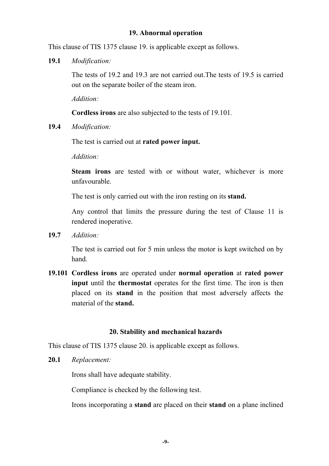#### **19. Abnormal operation**

This clause of TIS 1375 clause 19. is applicable except as follows.

**19.1** *Modification:*

The tests of 19.2 and 19.3 are not carried out.The tests of 19.5 is carried out on the separate boiler of the steam iron.

*Addition:*

**Cordless irons** are also subjected to the tests of 19.101*.*

**19.4** *Modification:*

The test is carried out at **rated power input.**

*Addition:*

**Steam irons** are tested with or without water, whichever is more unfavourable.

The test is only carried out with the iron resting on its **stand.**

Any control that limits the pressure during the test of Clause 11 is rendered inoperative.

**19.7** *Addition:*

The test is carried out for 5 min unless the motor is kept switched on by hand.

**19.101 Cordless irons** are operated under **normal operation** at **rated power input** until the **thermostat** operates for the first time. The iron is then placed on its **stand** in the position that most adversely affects the material of the **stand.**

#### **20. Stability and mechanical hazards**

This clause of TIS 1375 clause 20. is applicable except as follows.

**20.1** *Replacement:*

Irons shall have adequate stability.

Compliance is checked by the following test.

Irons incorporating a **stand** are placed on their **stand** on a plane inclined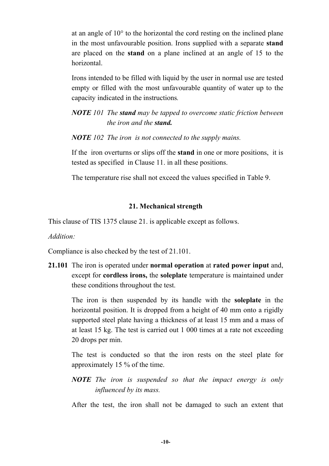at an angle of 10° to the horizontal the cord resting on the inclined plane in the most unfavourable position. Irons supplied with a separate **stand** are placed on the **stand** on a plane inclined at an angle of 15 to the horizontal.

Irons intended to be filled with liquid by the user in normal use are tested empty or filled with the most unfavourable quantity of water up to the capacity indicated in the instructions*.*

*NOTE 101 The stand may be tapped to overcome static friction between the iron and the stand.*

*NOTE 102 The iron is not connected to the supply mains.*

If the iron overturns or slips off the **stand** in one or more positions, it is tested as specified in Clause 11. in all these positions.

The temperature rise shall not exceed the values specified in Table 9.

# **21. Mechanical strength**

This clause of TIS 1375 clause 21. is applicable except as follows.

*Addition:*

Compliance is also checked by the test of 21.101.

**21.101** The iron is operated under **normal operation** at **rated power input** and, except for **cordless irons,** the **soleplate** temperature is maintained under these conditions throughout the test.

The iron is then suspended by its handle with the **soleplate** in the horizontal position. It is dropped from a height of 40 mm onto a rigidly supported steel plate having a thickness of at least 15 mm and a mass of at least 15 kg. The test is carried out 1 000 times at a rate not exceeding 20 drops per min.

The test is conducted so that the iron rests on the steel plate for approximately 15 % of the time.

*NOTE The iron is suspended so that the impact energy is only influenced by its mass.*

After the test, the iron shall not be damaged to such an extent that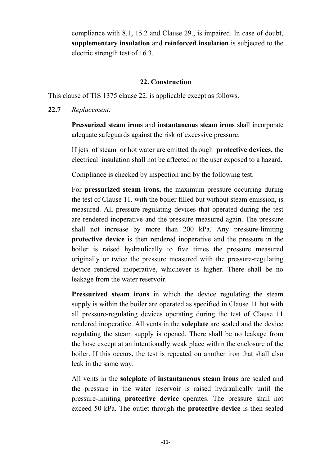compliance with 8.1, 15.2 and Clause 29., is impaired. In case of doubt, **supplementary insulation** and **reinforced insulation** is subjected to the electric strength test of 16.3.

# **22. Construction**

This clause of TIS 1375 clause 22. is applicable except as follows.

# **22.7** *Replacement:*

**Pressurized steam irons** and **instantaneous steam irons** shall incorporate adequate safeguards against the risk of excessive pressure.

If jets of steam or hot water are emitted through **protective devices,** the electrical insulation shall not be affected or the user exposed to a hazard.

Compliance is checked by inspection and by the following test.

For **pressurized steam irons,** the maximum pressure occurring during the test of Clause 11. with the boiler filled but without steam emission, is measured. All pressure-regulating devices that operated during the test are rendered inoperative and the pressure measured again. The pressure shall not increase by more than 200 kPa. Any pressure-limiting **protective device** is then rendered inoperative and the pressure in the boiler is raised hydraulically to five times the pressure measured originally or twice the pressure measured with the pressure-regulating device rendered inoperative, whichever is higher. There shall be no leakage from the water reservoir.

**Pressurized steam irons** in which the device regulating the steam supply is within the boiler are operated as specified in Clause 11 but with all pressure-regulating devices operating during the test of Clause 11 rendered inoperative. All vents in the **soleplate** are sealed and the device regulating the steam supply is opened. There shall be no leakage from the hose except at an intentionally weak place within the enclosure of the boiler. If this occurs, the test is repeated on another iron that shall also leak in the same way.

All vents in the **soleplate** of **instantaneous steam irons** are sealed and the pressure in the water reservoir is raised hydraulically until the pressure-limiting **protective device** operates. The pressure shall not exceed 50 kPa. The outlet through the **protective device** is then sealed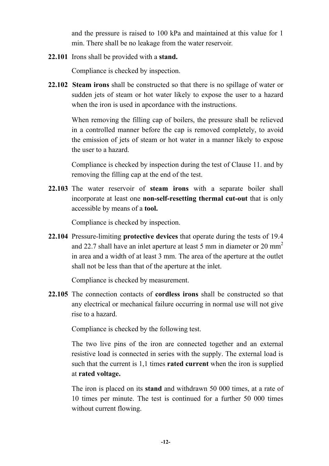and the pressure is raised to 100 kPa and maintained at this value for 1 min. There shall be no leakage from the water reservoir*.*

**22.101** Irons shall be provided with a **stand.**

Compliance is checked by inspection.

**22.102 Steam irons** shall be constructed so that there is no spillage of water or sudden jets of steam or hot water likely to expose the user to a hazard when the iron is used in apcordance with the instructions.

When removing the filling cap of boilers, the pressure shall be relieved in a controlled manner before the cap is removed completely, to avoid the emission of jets of steam or hot water in a manner likely to expose the user to a hazard.

Compliance is checked by inspection during the test of Clause 11. and by removing the filling cap at the end of the test.

**22.103** The water reservoir of **steam irons** with a separate boiler shall incorporate at least one **non-self-resetting thermal cut-out** that is only accessible by means of a **tool.**

Compliance is checked by inspection.

**22.104** Pressure-limiting **protective devices** that operate during the tests of 19.4 and 22.7 shall have an inlet aperture at least 5 mm in diameter or 20 mm<sup>2</sup> in area and a width of at least 3 mm. The area of the aperture at the outlet shall not be less than that of the aperture at the inlet.

Compliance is checked by measurement.

**22.105** The connection contacts of **cordless irons** shall be constructed so that any electrical or mechanical failure occurring in normal use will not give rise to a hazard.

Compliance is checked by the following test.

The two live pins of the iron are connected together and an external resistive load is connected in series with the supply. The external load is such that the current is 1,1 times **rated current** when the iron is supplied at **rated voltage.**

The iron is placed on its **stand** and withdrawn 50 000 times, at a rate of 10 times per minute. The test is continued for a further 50 000 times without current flowing.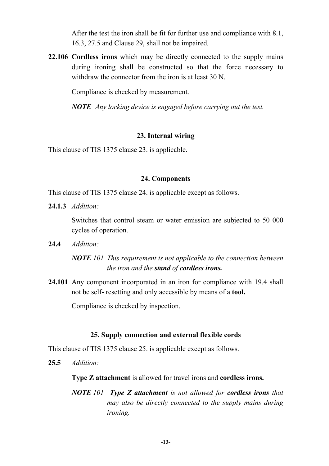After the test the iron shall be fit for further use and compliance with 8.1, 16.3, 27.5 and Clause 29, shall not be impaired*.*

**22.106 Cordless irons** which may be directly connected to the supply mains during ironing shall be constructed so that the force necessary to withdraw the connector from the iron is at least 30 N.

Compliance is checked by measurement.

*NOTE Any locking device is engaged before carrying out the test.*

#### **23. Internal wiring**

This clause of TIS 1375 clause 23. is applicable.

#### **24. Components**

This clause of TIS 1375 clause 24. is applicable except as follows.

**24.1.3** *Addition:*

Switches that control steam or water emission are subjected to 50 000 cycles of operation.

**24.4** *Addition:*

*NOTE 101 This requirement is not applicable to the connection between the iron and the stand of cordless irons.*

**24.101** Any component incorporated in an iron for compliance with 19.4 shall not be self- resetting and only accessible by means of a **tool.**

Compliance is checked by inspection.

#### **25. Supply connection and external flexible cords**

This clause of TIS 1375 clause 25. is applicable except as follows.

**25.5** *Addition:*

**Type Z attachment** is allowed for travel irons and **cordless irons.**

*NOTE 101 Type Z attachment is not allowed for cordless irons that may also be directly connected to the supply mains during ironing.*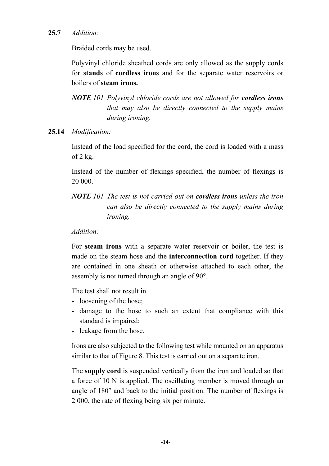# **25.7** *Addition:*

Braided cords may be used.

Polyvinyl chloride sheathed cords are only allowed as the supply cords for **stands** of **cordless irons** and for the separate water reservoirs or boilers of **steam irons.**

*NOTE 101 Polyvinyl chloride cords are not allowed for cordless irons that may also be directly connected to the supply mains during ironing.*

## **25.14** *Modification:*

Instead of the load specified for the cord, the cord is loaded with a mass of 2 kg.

Instead of the number of flexings specified, the number of flexings is 20 000.

*NOTE 101 The test is not carried out on cordless irons unless the iron can also be directly connected to the supply mains during ironing.*

## *Addition:*

For **steam irons** with a separate water reservoir or boiler, the test is made on the steam hose and the **interconnection cord** together. If they are contained in one sheath or otherwise attached to each other, the assembly is not turned through an angle of 90°.

The test shall not result in

- loosening of the hose;
- damage to the hose to such an extent that compliance with this standard is impaired;
- leakage from the hose.

Irons are also subjected to the following test while mounted on an apparatus similar to that of Figure 8. This test is carried out on a separate iron.

The **supply cord** is suspended vertically from the iron and loaded so that a force of 10 N is applied. The oscillating member is moved through an angle of 180° and back to the initial position. The number of flexings is 2 000, the rate of flexing being six per minute.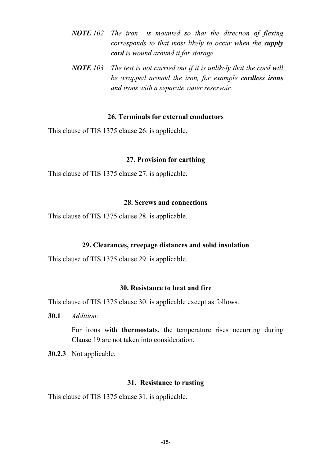- *NOTE 102 The iron is mounted so that the direction of flexing corresponds to that most likely to occur when the supply cord is wound around it for storage.*
- *NOTE 103 The test is not carried out if it is unlikely that the cord will be wrapped around the iron, for example cordless irons and irons with a separate water reservoir.*

#### **26. Terminals for external conductors**

This clause of TIS 1375 clause 26. is applicable.

#### **27. Provision for earthing**

This clause of TIS 1375 clause 27. is applicable.

#### **28. Screws and connections**

This clause of TIS 1375 clause 28. is applicable.

#### **29. Clearances, creepage distances and solid insulation**

This clause of TIS 1375 clause 29. is applicable.

## **30. Resistance to heat and fire**

This clause of TIS 1375 clause 30. is applicable except as follows.

**30.1** *Addition:*

For irons with **thermostats,** the temperature rises occurring during Clause 19 are not taken into consideration.

**30.2.3** Not applicable.

#### **31. Resistance to rusting**

This clause of TIS 1375 clause 31. is applicable.